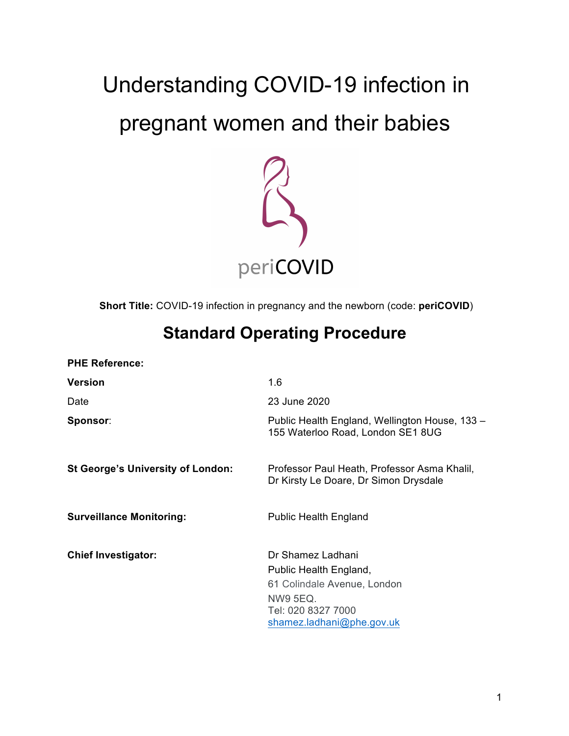# Understanding COVID-19 infection in pregnant women and their babies



**Short Title:** COVID-19 infection in pregnancy and the newborn (code: **periCOVID**)

## **Standard Operating Procedure**

| <b>PHE Reference:</b>                    |                                                                                                                                                  |  |
|------------------------------------------|--------------------------------------------------------------------------------------------------------------------------------------------------|--|
| <b>Version</b>                           | 1.6                                                                                                                                              |  |
| Date                                     | 23 June 2020                                                                                                                                     |  |
| Sponsor:                                 | Public Health England, Wellington House, 133 -<br>155 Waterloo Road, London SE1 8UG                                                              |  |
| <b>St George's University of London:</b> | Professor Paul Heath, Professor Asma Khalil,<br>Dr Kirsty Le Doare, Dr Simon Drysdale                                                            |  |
| <b>Surveillance Monitoring:</b>          | <b>Public Health England</b>                                                                                                                     |  |
| <b>Chief Investigator:</b>               | Dr Shamez Ladhani<br>Public Health England,<br>61 Colindale Avenue, London<br><b>NW9 5EQ.</b><br>Tel: 020 8327 7000<br>shamez.ladhani@phe.gov.uk |  |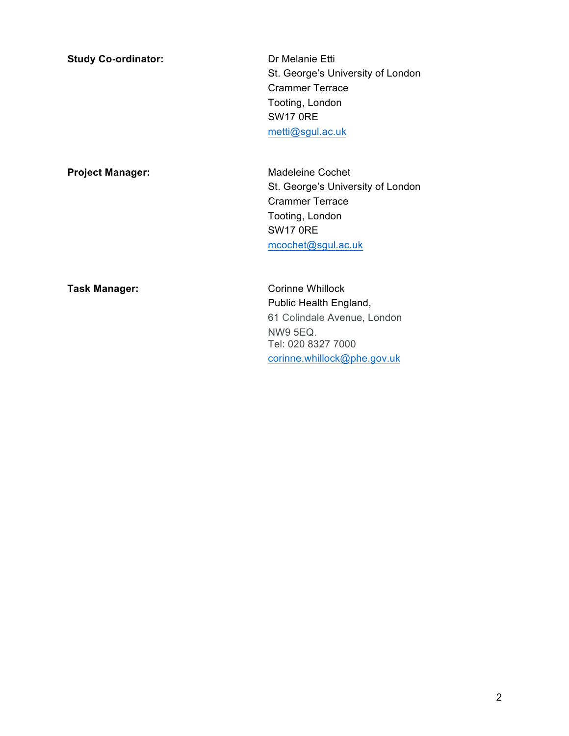**Study Co-ordinator:** Dr Melanie Etti St. George's University of London Crammer Terrace Tooting, London SW17 0RE metti@sgul.ac.uk Project Manager: Madeleine Cochet St. George's University of London Crammer Terrace Tooting, London SW17 0RE mcochet@sgul.ac.uk Task Manager: **Task Manager: Corinne Whillock** Public Health England, 61 Colindale Avenue, London NW9 5EQ. Tel: 020 8327 7000 corinne.whillock@phe.gov.uk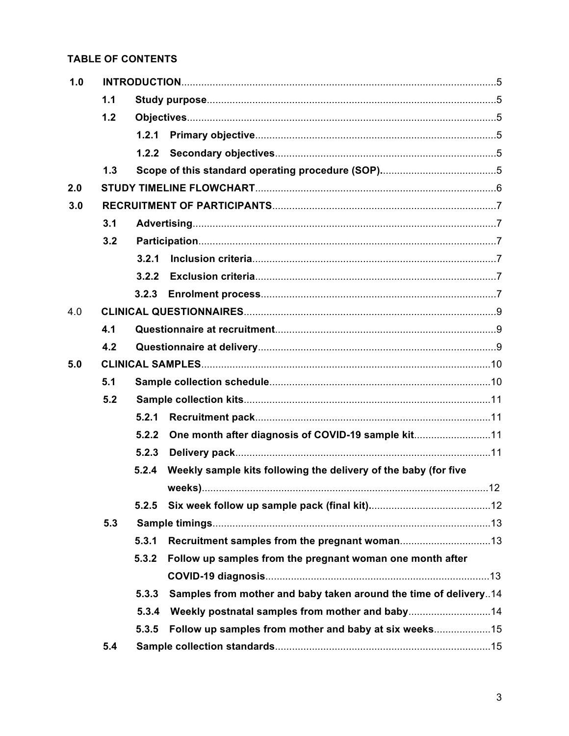## TABLE OF CONTENTS

| 1.0 |     |       |                                                                  |  |  |
|-----|-----|-------|------------------------------------------------------------------|--|--|
|     | 1.1 |       |                                                                  |  |  |
|     | 1.2 |       |                                                                  |  |  |
|     |     | 1.2.1 |                                                                  |  |  |
|     |     |       |                                                                  |  |  |
|     | 1.3 |       |                                                                  |  |  |
| 2.0 |     |       |                                                                  |  |  |
| 3.0 |     |       |                                                                  |  |  |
|     | 3.1 |       |                                                                  |  |  |
|     | 3.2 |       |                                                                  |  |  |
|     |     | 3.2.1 |                                                                  |  |  |
|     |     | 3.2.2 |                                                                  |  |  |
|     |     |       |                                                                  |  |  |
| 4.0 |     |       |                                                                  |  |  |
|     | 4.1 |       |                                                                  |  |  |
|     | 4.2 |       |                                                                  |  |  |
| 5.0 |     |       |                                                                  |  |  |
|     | 5.1 |       |                                                                  |  |  |
|     | 5.2 |       |                                                                  |  |  |
|     |     | 5.2.1 |                                                                  |  |  |
|     |     | 5.2.2 | One month after diagnosis of COVID-19 sample kit11               |  |  |
|     |     | 5.2.3 |                                                                  |  |  |
|     |     | 5.2.4 | Weekly sample kits following the delivery of the baby (for five  |  |  |
|     |     |       |                                                                  |  |  |
|     |     |       |                                                                  |  |  |
|     | 5.3 |       |                                                                  |  |  |
|     |     | 5.3.1 |                                                                  |  |  |
|     |     | 5.3.2 | Follow up samples from the pregnant woman one month after        |  |  |
|     |     |       |                                                                  |  |  |
|     |     | 5.3.3 | Samples from mother and baby taken around the time of delivery14 |  |  |
|     |     | 5.3.4 | Weekly postnatal samples from mother and baby14                  |  |  |
|     |     | 5.3.5 | Follow up samples from mother and baby at six weeks15            |  |  |
|     | 5.4 |       |                                                                  |  |  |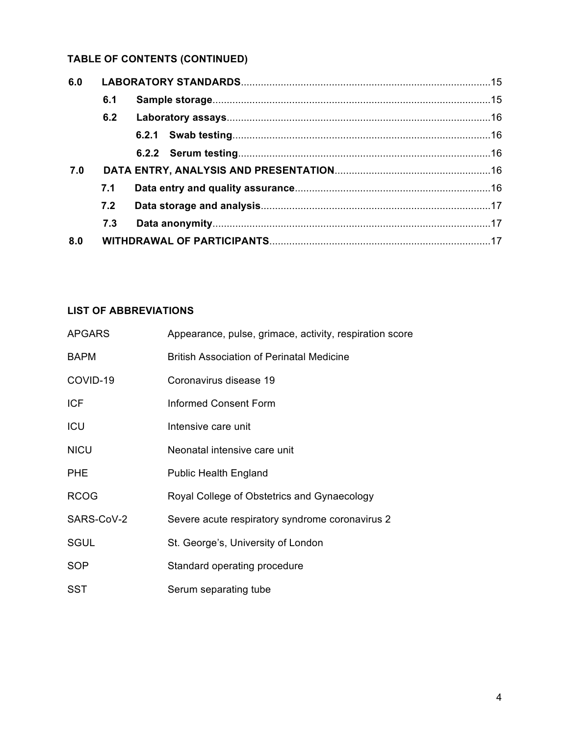## **TABLE OF CONTENTS (CONTINUED)**

| 6.0 |     |  |  |  |
|-----|-----|--|--|--|
|     | 6.1 |  |  |  |
|     | 6.2 |  |  |  |
|     |     |  |  |  |
|     |     |  |  |  |
| 7.0 |     |  |  |  |
|     | 7.1 |  |  |  |
|     | 7.2 |  |  |  |
|     | 7.3 |  |  |  |
| 8.0 |     |  |  |  |

## **LIST OF ABBREVIATIONS**

| <b>APGARS</b> | Appearance, pulse, grimace, activity, respiration score |
|---------------|---------------------------------------------------------|
| <b>BAPM</b>   | <b>British Association of Perinatal Medicine</b>        |
| COVID-19      | Coronavirus disease 19                                  |
| <b>ICF</b>    | <b>Informed Consent Form</b>                            |
| ICU           | Intensive care unit                                     |
| <b>NICU</b>   | Neonatal intensive care unit                            |
| <b>PHE</b>    | <b>Public Health England</b>                            |
| <b>RCOG</b>   | Royal College of Obstetrics and Gynaecology             |
| SARS-CoV-2    | Severe acute respiratory syndrome coronavirus 2         |
| <b>SGUL</b>   | St. George's, University of London                      |
| SOP           | Standard operating procedure                            |
| <b>SST</b>    | Serum separating tube                                   |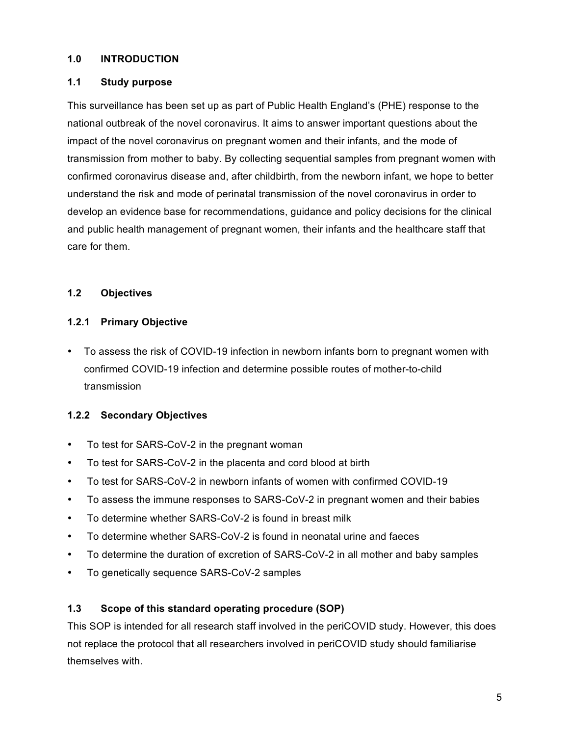## **1.0 INTRODUCTION**

## **1.1 Study purpose**

This surveillance has been set up as part of Public Health England's (PHE) response to the national outbreak of the novel coronavirus. It aims to answer important questions about the impact of the novel coronavirus on pregnant women and their infants, and the mode of transmission from mother to baby. By collecting sequential samples from pregnant women with confirmed coronavirus disease and, after childbirth, from the newborn infant, we hope to better understand the risk and mode of perinatal transmission of the novel coronavirus in order to develop an evidence base for recommendations, guidance and policy decisions for the clinical and public health management of pregnant women, their infants and the healthcare staff that care for them.

## **1.2 Objectives**

## **1.2.1 Primary Objective**

• To assess the risk of COVID-19 infection in newborn infants born to pregnant women with confirmed COVID-19 infection and determine possible routes of mother-to-child transmission

## **1.2.2 Secondary Objectives**

- To test for SARS-CoV-2 in the pregnant woman
- To test for SARS-CoV-2 in the placenta and cord blood at birth
- To test for SARS-CoV-2 in newborn infants of women with confirmed COVID-19
- To assess the immune responses to SARS-CoV-2 in pregnant women and their babies
- To determine whether SARS-CoV-2 is found in breast milk
- To determine whether SARS-CoV-2 is found in neonatal urine and faeces
- To determine the duration of excretion of SARS-CoV-2 in all mother and baby samples
- To genetically sequence SARS-CoV-2 samples

## **1.3 Scope of this standard operating procedure (SOP)**

This SOP is intended for all research staff involved in the periCOVID study. However, this does not replace the protocol that all researchers involved in periCOVID study should familiarise themselves with.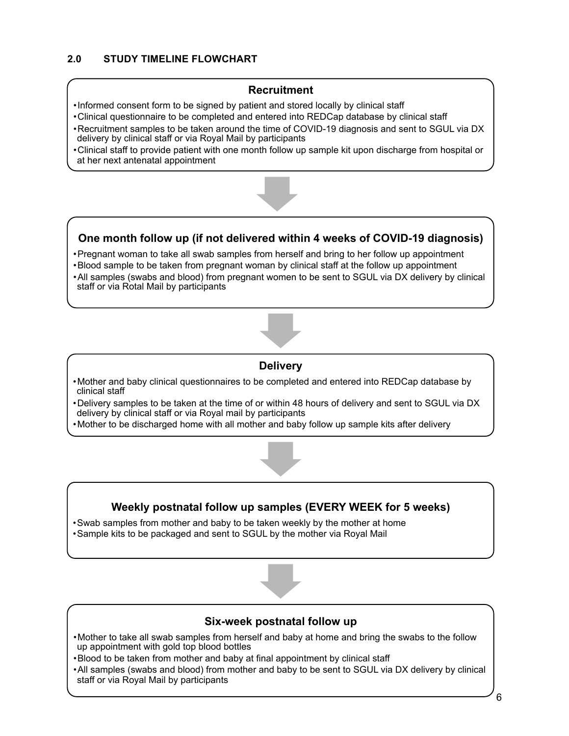## **2.0 STUDY TIMELINE FLOWCHART**

## **Recruitment**

- •Informed consent form to be signed by patient and stored locally by clinical staff
- •Clinical questionnaire to be completed and entered into REDCap database by clinical staff
- •Recruitment samples to be taken around the time of COVID-19 diagnosis and sent to SGUL via DX delivery by clinical staff or via Royal Mail by participants
- •Clinical staff to provide patient with one month follow up sample kit upon discharge from hospital or at her next antenatal appointment



## **One month follow up (if not delivered within 4 weeks of COVID-19 diagnosis)**

- •Pregnant woman to take all swab samples from herself and bring to her follow up appointment
- •Blood sample to be taken from pregnant woman by clinical staff at the follow up appointment
- •All samples (swabs and blood) from pregnant women to be sent to SGUL via DX delivery by clinical staff or via Rotal Mail by participants



## **Delivery**

- •Mother and baby clinical questionnaires to be completed and entered into REDCap database by clinical staff
- •Delivery samples to be taken at the time of or within 48 hours of delivery and sent to SGUL via DX delivery by clinical staff or via Royal mail by participants
- •Mother to be discharged home with all mother and baby follow up sample kits after delivery



## **Six-week postnatal follow up**

- •Mother to take all swab samples from herself and baby at home and bring the swabs to the follow up appointment with gold top blood bottles
- •Blood to be taken from mother and baby at final appointment by clinical staff
- •All samples (swabs and blood) from mother and baby to be sent to SGUL via DX delivery by clinical staff or via Royal Mail by participants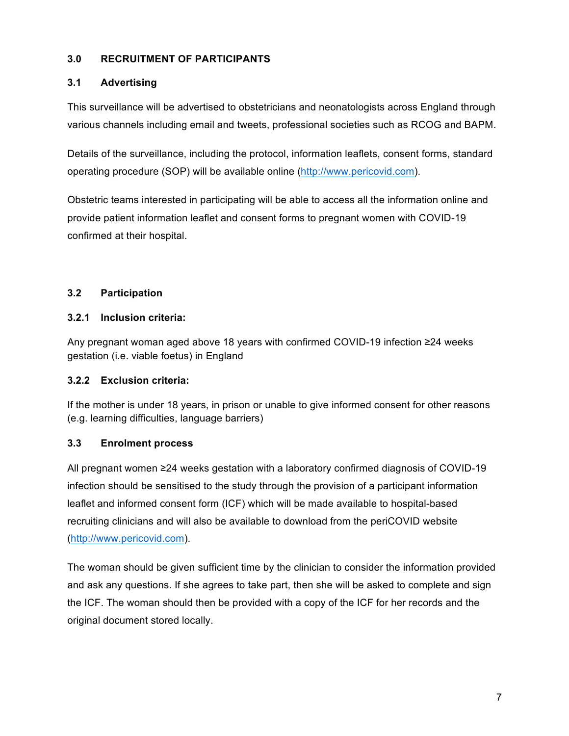## **3.0 RECRUITMENT OF PARTICIPANTS**

## **3.1 Advertising**

This surveillance will be advertised to obstetricians and neonatologists across England through various channels including email and tweets, professional societies such as RCOG and BAPM.

Details of the surveillance, including the protocol, information leaflets, consent forms, standard operating procedure (SOP) will be available online (http://www.pericovid.com).

Obstetric teams interested in participating will be able to access all the information online and provide patient information leaflet and consent forms to pregnant women with COVID-19 confirmed at their hospital.

## **3.2 Participation**

## **3.2.1 Inclusion criteria:**

Any pregnant woman aged above 18 years with confirmed COVID-19 infection ≥24 weeks gestation (i.e. viable foetus) in England

## **3.2.2 Exclusion criteria:**

If the mother is under 18 years, in prison or unable to give informed consent for other reasons (e.g. learning difficulties, language barriers)

## **3.3 Enrolment process**

All pregnant women ≥24 weeks gestation with a laboratory confirmed diagnosis of COVID-19 infection should be sensitised to the study through the provision of a participant information leaflet and informed consent form (ICF) which will be made available to hospital-based recruiting clinicians and will also be available to download from the periCOVID website (http://www.pericovid.com).

The woman should be given sufficient time by the clinician to consider the information provided and ask any questions. If she agrees to take part, then she will be asked to complete and sign the ICF. The woman should then be provided with a copy of the ICF for her records and the original document stored locally.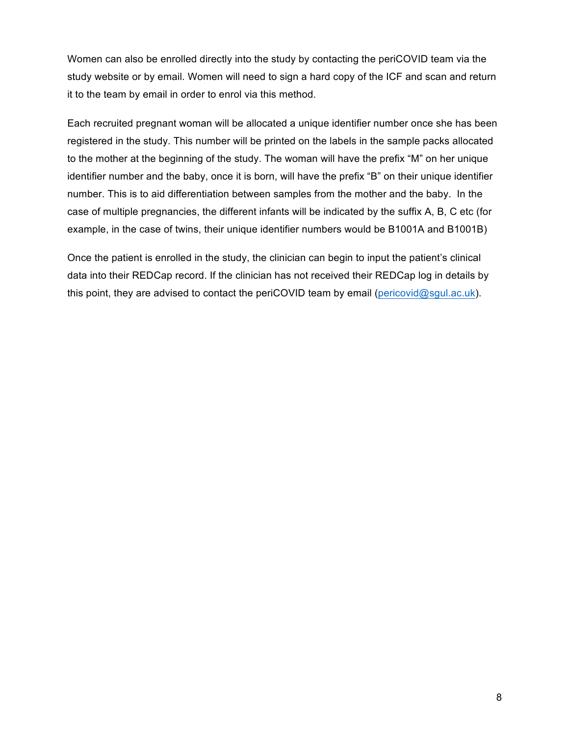Women can also be enrolled directly into the study by contacting the periCOVID team via the study website or by email. Women will need to sign a hard copy of the ICF and scan and return it to the team by email in order to enrol via this method.

Each recruited pregnant woman will be allocated a unique identifier number once she has been registered in the study. This number will be printed on the labels in the sample packs allocated to the mother at the beginning of the study. The woman will have the prefix "M" on her unique identifier number and the baby, once it is born, will have the prefix "B" on their unique identifier number. This is to aid differentiation between samples from the mother and the baby. In the case of multiple pregnancies, the different infants will be indicated by the suffix A, B, C etc (for example, in the case of twins, their unique identifier numbers would be B1001A and B1001B)

Once the patient is enrolled in the study, the clinician can begin to input the patient's clinical data into their REDCap record. If the clinician has not received their REDCap log in details by this point, they are advised to contact the periCOVID team by email (pericovid@sgul.ac.uk).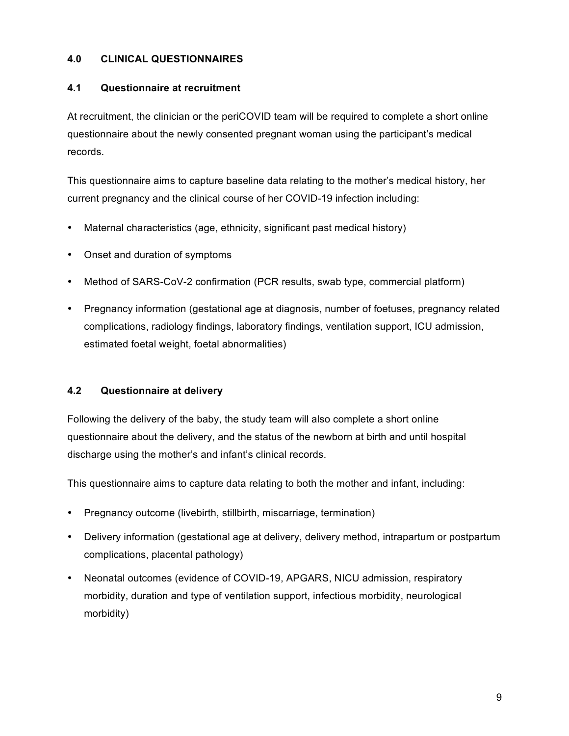## **4.0 CLINICAL QUESTIONNAIRES**

## **4.1 Questionnaire at recruitment**

At recruitment, the clinician or the periCOVID team will be required to complete a short online questionnaire about the newly consented pregnant woman using the participant's medical records.

This questionnaire aims to capture baseline data relating to the mother's medical history, her current pregnancy and the clinical course of her COVID-19 infection including:

- Maternal characteristics (age, ethnicity, significant past medical history)
- Onset and duration of symptoms
- Method of SARS-CoV-2 confirmation (PCR results, swab type, commercial platform)
- Pregnancy information (gestational age at diagnosis, number of foetuses, pregnancy related complications, radiology findings, laboratory findings, ventilation support, ICU admission, estimated foetal weight, foetal abnormalities)

## **4.2 Questionnaire at delivery**

Following the delivery of the baby, the study team will also complete a short online questionnaire about the delivery, and the status of the newborn at birth and until hospital discharge using the mother's and infant's clinical records.

This questionnaire aims to capture data relating to both the mother and infant, including:

- Pregnancy outcome (livebirth, stillbirth, miscarriage, termination)
- Delivery information (gestational age at delivery, delivery method, intrapartum or postpartum complications, placental pathology)
- Neonatal outcomes (evidence of COVID-19, APGARS, NICU admission, respiratory morbidity, duration and type of ventilation support, infectious morbidity, neurological morbidity)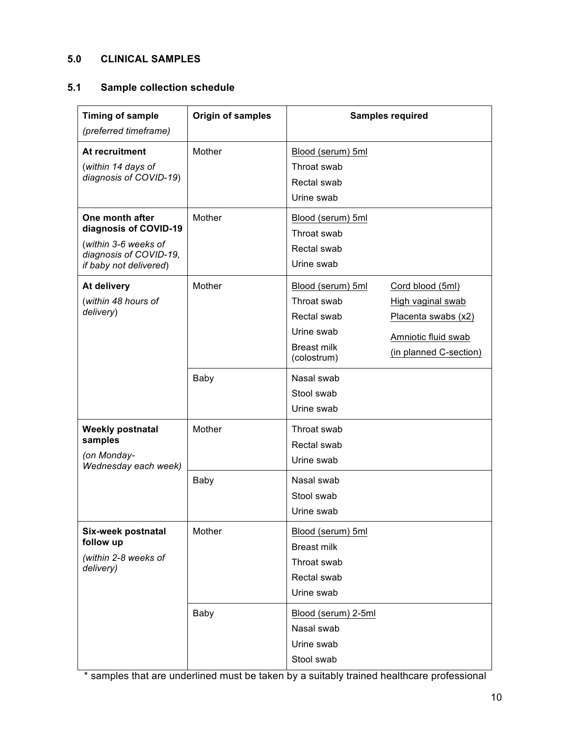## **5.0 CLINICAL SAMPLES**

## **5.1 Sample collection schedule**

| <b>Timing of sample</b><br>(preferred timeframe)                                                                     | Origin of samples | <b>Samples required</b>                                                                                    |                                                                                                               |
|----------------------------------------------------------------------------------------------------------------------|-------------------|------------------------------------------------------------------------------------------------------------|---------------------------------------------------------------------------------------------------------------|
| At recruitment<br>(within 14 days of<br>diagnosis of COVID-19)                                                       | Mother            | Blood (serum) 5ml<br>Throat swab<br>Rectal swab<br>Urine swab                                              |                                                                                                               |
| One month after<br>diagnosis of COVID-19<br>(within 3-6 weeks of<br>diagnosis of COVID-19,<br>if baby not delivered) | Mother            | Blood (serum) 5ml<br>Throat swab<br>Rectal swab<br>Urine swab                                              |                                                                                                               |
| At delivery<br>(within 48 hours of<br>delivery)                                                                      | Mother            | Blood (serum) 5ml<br>Throat swab<br>Rectal swab<br>Urine swab<br><b>Breast milk</b><br>(colostrum)         | Cord blood (5ml)<br>High vaginal swab<br>Placenta swabs (x2)<br>Amniotic fluid swab<br>(in planned C-section) |
|                                                                                                                      | Baby              | Nasal swab<br>Stool swab<br>Urine swab                                                                     |                                                                                                               |
| <b>Weekly postnatal</b><br>samples<br>(on Monday-<br>Wednesday each week)                                            | Mother            | Throat swab<br>Rectal swab<br>Urine swab                                                                   |                                                                                                               |
|                                                                                                                      | Baby              | Nasal swab<br>Stool swab<br>Urine swab                                                                     |                                                                                                               |
| Six-week postnatal<br>follow up<br>(within 2-8 weeks of<br>delivery)                                                 | Mother<br>Baby    | Blood (serum) 5ml<br><b>Breast milk</b><br>Throat swab<br>Rectal swab<br>Urine swab<br>Blood (serum) 2-5ml |                                                                                                               |
|                                                                                                                      |                   | Nasal swab<br>Urine swab<br>Stool swab                                                                     |                                                                                                               |

\* samples that are underlined must be taken by a suitably trained healthcare professional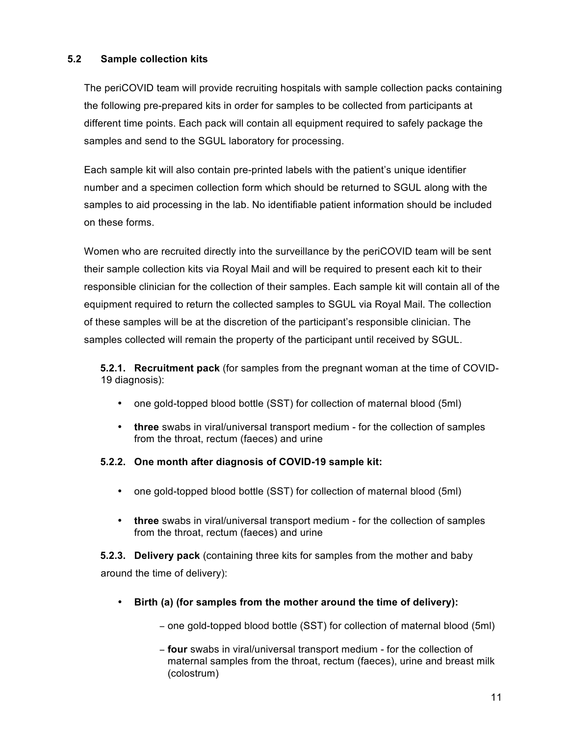## **5.2 Sample collection kits**

The periCOVID team will provide recruiting hospitals with sample collection packs containing the following pre-prepared kits in order for samples to be collected from participants at different time points. Each pack will contain all equipment required to safely package the samples and send to the SGUL laboratory for processing.

Each sample kit will also contain pre-printed labels with the patient's unique identifier number and a specimen collection form which should be returned to SGUL along with the samples to aid processing in the lab. No identifiable patient information should be included on these forms.

Women who are recruited directly into the surveillance by the periCOVID team will be sent their sample collection kits via Royal Mail and will be required to present each kit to their responsible clinician for the collection of their samples. Each sample kit will contain all of the equipment required to return the collected samples to SGUL via Royal Mail. The collection of these samples will be at the discretion of the participant's responsible clinician. The samples collected will remain the property of the participant until received by SGUL.

**5.2.1. Recruitment pack** (for samples from the pregnant woman at the time of COVID-19 diagnosis):

- one gold-topped blood bottle (SST) for collection of maternal blood (5ml)
- **three** swabs in viral/universal transport medium for the collection of samples from the throat, rectum (faeces) and urine
- **5.2.2. One month after diagnosis of COVID-19 sample kit:** 
	- one gold-topped blood bottle (SST) for collection of maternal blood (5ml)
	- **three** swabs in viral/universal transport medium for the collection of samples from the throat, rectum (faeces) and urine

**5.2.3. Delivery pack** (containing three kits for samples from the mother and baby around the time of delivery):

- **Birth (a) (for samples from the mother around the time of delivery):** 
	- − one gold-topped blood bottle (SST) for collection of maternal blood (5ml)
	- − **four** swabs in viral/universal transport medium for the collection of maternal samples from the throat, rectum (faeces), urine and breast milk (colostrum)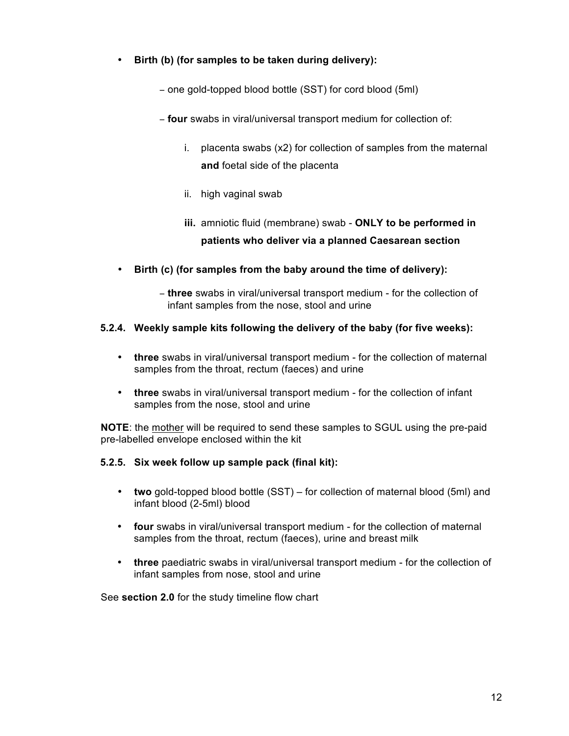- **Birth (b) (for samples to be taken during delivery):** 
	- − one gold-topped blood bottle (SST) for cord blood (5ml)
	- − **four** swabs in viral/universal transport medium for collection of:
		- i. placenta swabs (x2) for collection of samples from the maternal **and** foetal side of the placenta
		- ii. high vaginal swab
		- **iii.** amniotic fluid (membrane) swab **ONLY to be performed in patients who deliver via a planned Caesarean section**
- **Birth (c) (for samples from the baby around the time of delivery):**
	- − **three** swabs in viral/universal transport medium for the collection of infant samples from the nose, stool and urine

## **5.2.4. Weekly sample kits following the delivery of the baby (for five weeks):**

- **three** swabs in viral/universal transport medium for the collection of maternal samples from the throat, rectum (faeces) and urine
- **three** swabs in viral/universal transport medium for the collection of infant samples from the nose, stool and urine

**NOTE**: the mother will be required to send these samples to SGUL using the pre-paid pre-labelled envelope enclosed within the kit

## **5.2.5. Six week follow up sample pack (final kit):**

- **two** gold-topped blood bottle (SST) for collection of maternal blood (5ml) and infant blood (2-5ml) blood
- **four** swabs in viral/universal transport medium for the collection of maternal samples from the throat, rectum (faeces), urine and breast milk
- **three** paediatric swabs in viral/universal transport medium for the collection of infant samples from nose, stool and urine

See **section 2.0** for the study timeline flow chart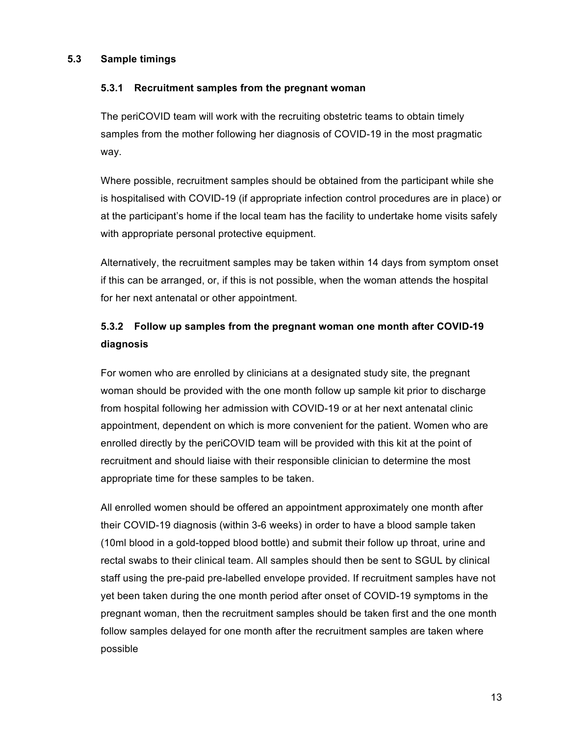## **5.3 Sample timings**

#### **5.3.1 Recruitment samples from the pregnant woman**

The periCOVID team will work with the recruiting obstetric teams to obtain timely samples from the mother following her diagnosis of COVID-19 in the most pragmatic way.

Where possible, recruitment samples should be obtained from the participant while she is hospitalised with COVID-19 (if appropriate infection control procedures are in place) or at the participant's home if the local team has the facility to undertake home visits safely with appropriate personal protective equipment.

Alternatively, the recruitment samples may be taken within 14 days from symptom onset if this can be arranged, or, if this is not possible, when the woman attends the hospital for her next antenatal or other appointment.

## **5.3.2 Follow up samples from the pregnant woman one month after COVID-19 diagnosis**

For women who are enrolled by clinicians at a designated study site, the pregnant woman should be provided with the one month follow up sample kit prior to discharge from hospital following her admission with COVID-19 or at her next antenatal clinic appointment, dependent on which is more convenient for the patient. Women who are enrolled directly by the periCOVID team will be provided with this kit at the point of recruitment and should liaise with their responsible clinician to determine the most appropriate time for these samples to be taken.

All enrolled women should be offered an appointment approximately one month after their COVID-19 diagnosis (within 3-6 weeks) in order to have a blood sample taken (10ml blood in a gold-topped blood bottle) and submit their follow up throat, urine and rectal swabs to their clinical team. All samples should then be sent to SGUL by clinical staff using the pre-paid pre-labelled envelope provided. If recruitment samples have not yet been taken during the one month period after onset of COVID-19 symptoms in the pregnant woman, then the recruitment samples should be taken first and the one month follow samples delayed for one month after the recruitment samples are taken where possible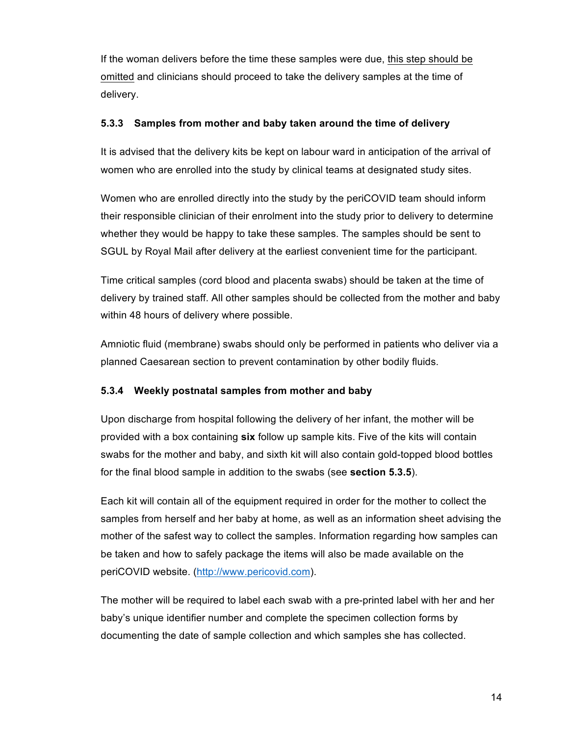If the woman delivers before the time these samples were due, this step should be omitted and clinicians should proceed to take the delivery samples at the time of delivery.

## **5.3.3 Samples from mother and baby taken around the time of delivery**

It is advised that the delivery kits be kept on labour ward in anticipation of the arrival of women who are enrolled into the study by clinical teams at designated study sites.

Women who are enrolled directly into the study by the periCOVID team should inform their responsible clinician of their enrolment into the study prior to delivery to determine whether they would be happy to take these samples. The samples should be sent to SGUL by Royal Mail after delivery at the earliest convenient time for the participant.

Time critical samples (cord blood and placenta swabs) should be taken at the time of delivery by trained staff. All other samples should be collected from the mother and baby within 48 hours of delivery where possible.

Amniotic fluid (membrane) swabs should only be performed in patients who deliver via a planned Caesarean section to prevent contamination by other bodily fluids.

## **5.3.4 Weekly postnatal samples from mother and baby**

Upon discharge from hospital following the delivery of her infant, the mother will be provided with a box containing **six** follow up sample kits. Five of the kits will contain swabs for the mother and baby, and sixth kit will also contain gold-topped blood bottles for the final blood sample in addition to the swabs (see **section 5.3.5**).

Each kit will contain all of the equipment required in order for the mother to collect the samples from herself and her baby at home, as well as an information sheet advising the mother of the safest way to collect the samples. Information regarding how samples can be taken and how to safely package the items will also be made available on the periCOVID website. (http://www.pericovid.com).

The mother will be required to label each swab with a pre-printed label with her and her baby's unique identifier number and complete the specimen collection forms by documenting the date of sample collection and which samples she has collected.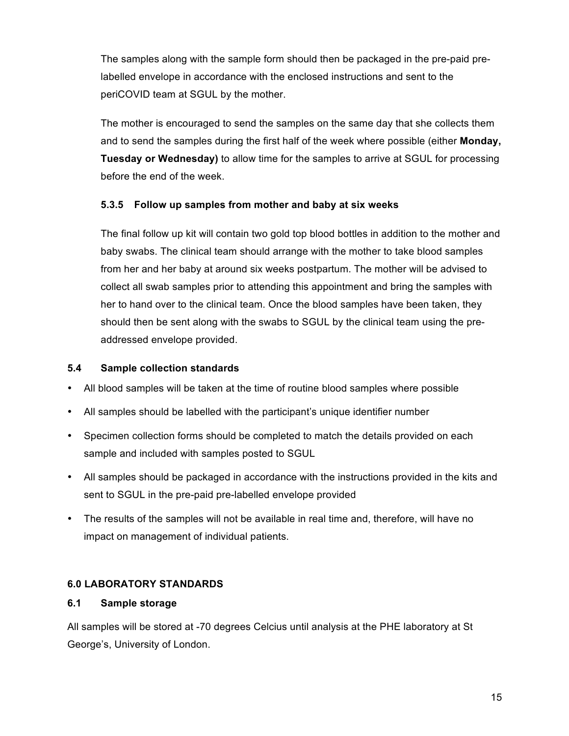The samples along with the sample form should then be packaged in the pre-paid prelabelled envelope in accordance with the enclosed instructions and sent to the periCOVID team at SGUL by the mother.

The mother is encouraged to send the samples on the same day that she collects them and to send the samples during the first half of the week where possible (either **Monday, Tuesday or Wednesday)** to allow time for the samples to arrive at SGUL for processing before the end of the week.

## **5.3.5 Follow up samples from mother and baby at six weeks**

The final follow up kit will contain two gold top blood bottles in addition to the mother and baby swabs. The clinical team should arrange with the mother to take blood samples from her and her baby at around six weeks postpartum. The mother will be advised to collect all swab samples prior to attending this appointment and bring the samples with her to hand over to the clinical team. Once the blood samples have been taken, they should then be sent along with the swabs to SGUL by the clinical team using the preaddressed envelope provided.

## **5.4 Sample collection standards**

- All blood samples will be taken at the time of routine blood samples where possible
- All samples should be labelled with the participant's unique identifier number
- Specimen collection forms should be completed to match the details provided on each sample and included with samples posted to SGUL
- All samples should be packaged in accordance with the instructions provided in the kits and sent to SGUL in the pre-paid pre-labelled envelope provided
- The results of the samples will not be available in real time and, therefore, will have no impact on management of individual patients.

## **6.0 LABORATORY STANDARDS**

## **6.1 Sample storage**

All samples will be stored at -70 degrees Celcius until analysis at the PHE laboratory at St George's, University of London.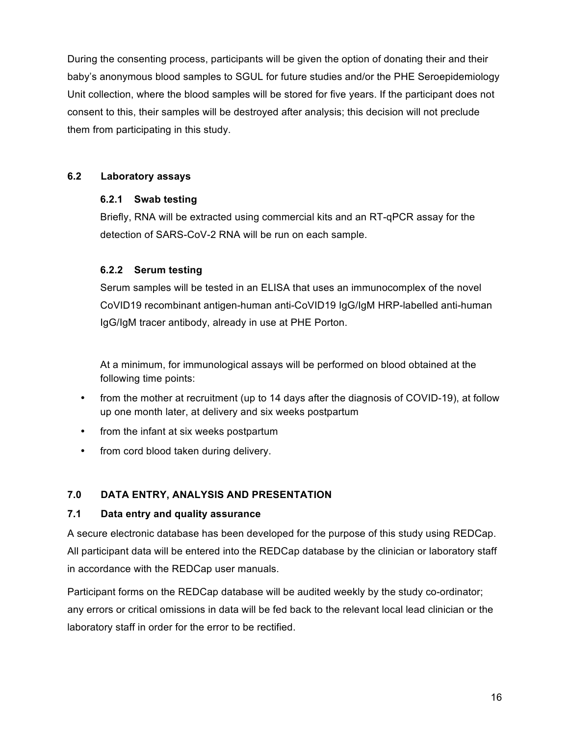During the consenting process, participants will be given the option of donating their and their baby's anonymous blood samples to SGUL for future studies and/or the PHE Seroepidemiology Unit collection, where the blood samples will be stored for five years. If the participant does not consent to this, their samples will be destroyed after analysis; this decision will not preclude them from participating in this study.

## **6.2 Laboratory assays**

## **6.2.1 Swab testing**

Briefly, RNA will be extracted using commercial kits and an RT-qPCR assay for the detection of SARS-CoV-2 RNA will be run on each sample.

## **6.2.2 Serum testing**

Serum samples will be tested in an ELISA that uses an immunocomplex of the novel CoVID19 recombinant antigen-human anti-CoVID19 IgG/IgM HRP-labelled anti-human IgG/IgM tracer antibody, already in use at PHE Porton.

At a minimum, for immunological assays will be performed on blood obtained at the following time points:

- from the mother at recruitment (up to 14 days after the diagnosis of COVID-19), at follow up one month later, at delivery and six weeks postpartum
- from the infant at six weeks postpartum
- from cord blood taken during delivery.

## **7.0 DATA ENTRY, ANALYSIS AND PRESENTATION**

## **7.1 Data entry and quality assurance**

A secure electronic database has been developed for the purpose of this study using REDCap. All participant data will be entered into the REDCap database by the clinician or laboratory staff in accordance with the REDCap user manuals.

Participant forms on the REDCap database will be audited weekly by the study co-ordinator; any errors or critical omissions in data will be fed back to the relevant local lead clinician or the laboratory staff in order for the error to be rectified.